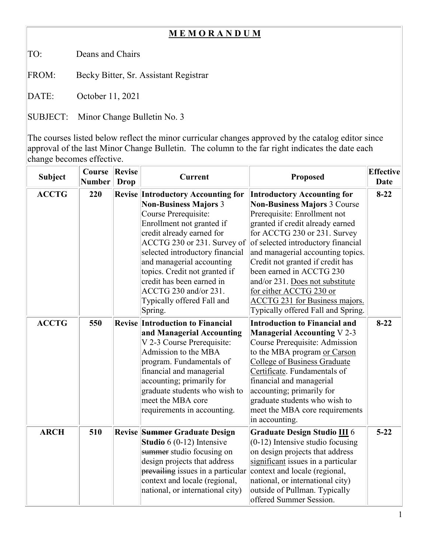## **M E M O R A N D U M**

TO: Deans and Chairs

FROM: Becky Bitter, Sr. Assistant Registrar

DATE: October 11, 2021

SUBJECT: Minor Change Bulletin No. 3

The courses listed below reflect the minor curricular changes approved by the catalog editor since approval of the last Minor Change Bulletin. The column to the far right indicates the date each change becomes effective.

| <b>Subject</b> | Course<br><b>Number</b> | <b>Revise</b><br>Drop | <b>Current</b>                                                                                                                                                                                                                                                                                                                                                                             | <b>Proposed</b>                                                                                                                                                                                                                                                                                                                                                                                                                                                       | <b>Effective</b><br><b>Date</b> |
|----------------|-------------------------|-----------------------|--------------------------------------------------------------------------------------------------------------------------------------------------------------------------------------------------------------------------------------------------------------------------------------------------------------------------------------------------------------------------------------------|-----------------------------------------------------------------------------------------------------------------------------------------------------------------------------------------------------------------------------------------------------------------------------------------------------------------------------------------------------------------------------------------------------------------------------------------------------------------------|---------------------------------|
| <b>ACCTG</b>   | 220                     |                       | <b>Revise Introductory Accounting for</b><br><b>Non-Business Majors 3</b><br>Course Prerequisite:<br>Enrollment not granted if<br>credit already earned for<br>ACCTG 230 or 231. Survey of<br>selected introductory financial<br>and managerial accounting<br>topics. Credit not granted if<br>credit has been earned in<br>ACCTG 230 and/or 231.<br>Typically offered Fall and<br>Spring. | <b>Introductory Accounting for</b><br><b>Non-Business Majors 3 Course</b><br>Prerequisite: Enrollment not<br>granted if credit already earned<br>for ACCTG 230 or 231. Survey<br>of selected introductory financial<br>and managerial accounting topics.<br>Credit not granted if credit has<br>been earned in ACCTG 230<br>and/or 231. Does not substitute<br>for either ACCTG 230 or<br><b>ACCTG 231 for Business majors.</b><br>Typically offered Fall and Spring. | $8 - 22$                        |
| <b>ACCTG</b>   | 550                     |                       | <b>Revise Introduction to Financial</b><br>and Managerial Accounting<br>V 2-3 Course Prerequisite:<br>Admission to the MBA<br>program. Fundamentals of<br>financial and managerial<br>accounting; primarily for<br>graduate students who wish to<br>meet the MBA core<br>requirements in accounting.                                                                                       | <b>Introduction to Financial and</b><br><b>Managerial Accounting V2-3</b><br>Course Prerequisite: Admission<br>to the MBA program or Carson<br><b>College of Business Graduate</b><br>Certificate. Fundamentals of<br>financial and managerial<br>accounting; primarily for<br>graduate students who wish to<br>meet the MBA core requirements<br>in accounting.                                                                                                      | $8 - 22$                        |
| <b>ARCH</b>    | 510                     |                       | <b>Revise Summer Graduate Design</b><br>Studio $6(0-12)$ Intensive<br>summer studio focusing on<br>design projects that address<br>prevailing issues in a particular<br>context and locale (regional,<br>national, or international city)                                                                                                                                                  | Graduate Design Studio III 6<br>$(0-12)$ Intensive studio focusing<br>on design projects that address<br>significant issues in a particular<br>context and locale (regional,<br>national, or international city)<br>outside of Pullman. Typically<br>offered Summer Session.                                                                                                                                                                                          | $5 - 22$                        |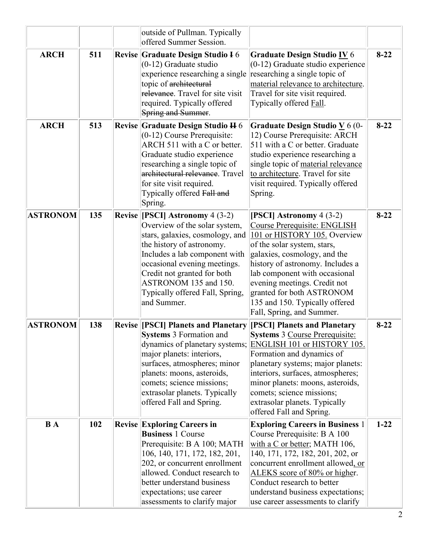|                 |     | outside of Pullman. Typically<br>offered Summer Session.                                                                                                                                                                                                                                                     |                                                                                                                                                                                                                                                                                                                                                                          |          |
|-----------------|-----|--------------------------------------------------------------------------------------------------------------------------------------------------------------------------------------------------------------------------------------------------------------------------------------------------------------|--------------------------------------------------------------------------------------------------------------------------------------------------------------------------------------------------------------------------------------------------------------------------------------------------------------------------------------------------------------------------|----------|
| <b>ARCH</b>     | 511 | Revise Graduate Design Studio I 6<br>$(0-12)$ Graduate studio<br>experience researching a single<br>topic of architectural<br>relevance. Travel for site visit<br>required. Typically offered<br>Spring and Summer.                                                                                          | Graduate Design Studio IV 6<br>$(0-12)$ Graduate studio experience<br>researching a single topic of<br>material relevance to architecture.<br>Travel for site visit required.<br>Typically offered Fall.                                                                                                                                                                 | $8 - 22$ |
| <b>ARCH</b>     | 513 | Revise Graduate Design Studio H 6<br>$(0-12)$ Course Prerequisite:<br>ARCH 511 with a C or better.<br>Graduate studio experience<br>researching a single topic of<br>architectural relevance. Travel<br>for site visit required.<br>Typically offered Fall and<br>Spring.                                    | Graduate Design Studio $\underline{V}$ 6 (0-<br>12) Course Prerequisite: ARCH<br>511 with a C or better. Graduate<br>studio experience researching a<br>single topic of material relevance<br>to architecture. Travel for site<br>visit required. Typically offered<br>Spring.                                                                                           | $8 - 22$ |
| <b>ASTRONOM</b> | 135 | Revise [[PSCI] Astronomy 4 (3-2)<br>Overview of the solar system,<br>stars, galaxies, cosmology, and<br>the history of astronomy.<br>Includes a lab component with<br>occasional evening meetings.<br>Credit not granted for both<br>ASTRONOM 135 and 150.<br>Typically offered Fall, Spring,<br>and Summer. | [PSCI] Astronomy $4(3-2)$<br>Course Prerequisite: ENGLISH<br>101 or HISTORY 105. Overview<br>of the solar system, stars,<br>galaxies, cosmology, and the<br>history of astronomy. Includes a<br>lab component with occasional<br>evening meetings. Credit not<br>granted for both ASTRONOM<br>135 and 150. Typically offered<br>Fall, Spring, and Summer.                | $8 - 22$ |
| <b>ASTRONOM</b> | 138 | <b>Revise [PSCI] Planets and Planetary</b><br><b>Systems 3 Formation and</b><br>major planets: interiors,<br>surfaces, atmospheres; minor<br>planets: moons, asteroids,<br>comets; science missions;<br>extrasolar planets. Typically<br>offered Fall and Spring.                                            | [PSCI] Planets and Planetary<br><b>Systems 3 Course Prerequisite:</b><br>dynamics of planetary systems; ENGLISH 101 or HISTORY 105.<br>Formation and dynamics of<br>planetary systems; major planets:<br>interiors, surfaces, atmospheres;<br>minor planets: moons, asteroids,<br>comets; science missions;<br>extrasolar planets. Typically<br>offered Fall and Spring. | $8 - 22$ |
| <b>B</b> A      | 102 | <b>Revise Exploring Careers in</b><br><b>Business 1 Course</b><br>Prerequisite: B A 100; MATH<br>106, 140, 171, 172, 182, 201,<br>202, or concurrent enrollment<br>allowed. Conduct research to<br>better understand business<br>expectations; use career<br>assessments to clarify major                    | <b>Exploring Careers in Business 1</b><br>Course Prerequisite: B A 100<br>with a C or better; MATH 106,<br>140, 171, 172, 182, 201, 202, or<br>concurrent enrollment allowed, or<br>ALEKS score of 80% or higher.<br>Conduct research to better<br>understand business expectations;<br>use career assessments to clarify                                                | $1 - 22$ |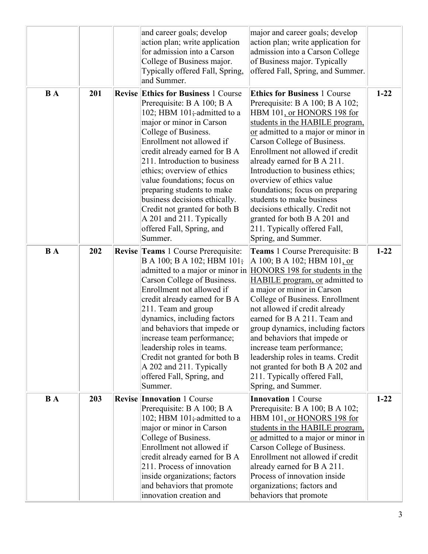|            |     | and career goals; develop<br>action plan; write application<br>for admission into a Carson<br>College of Business major.<br>Typically offered Fall, Spring,<br>and Summer.                                                                                                                                                                                                                                                                                                                  | major and career goals; develop<br>action plan; write application for<br>admission into a Carson College<br>of Business major. Typically<br>offered Fall, Spring, and Summer.                                                                                                                                                                                                                                                                                                                                                                        |          |
|------------|-----|---------------------------------------------------------------------------------------------------------------------------------------------------------------------------------------------------------------------------------------------------------------------------------------------------------------------------------------------------------------------------------------------------------------------------------------------------------------------------------------------|------------------------------------------------------------------------------------------------------------------------------------------------------------------------------------------------------------------------------------------------------------------------------------------------------------------------------------------------------------------------------------------------------------------------------------------------------------------------------------------------------------------------------------------------------|----------|
| <b>B</b> A | 201 | <b>Revise Ethics for Business 1 Course</b><br>Prerequisite: B A 100; B A<br>102; HBM 101; admitted to a<br>major or minor in Carson<br>College of Business.<br>Enrollment not allowed if<br>credit already earned for B A<br>211. Introduction to business<br>ethics; overview of ethics<br>value foundations; focus on<br>preparing students to make<br>business decisions ethically.<br>Credit not granted for both B<br>A 201 and 211. Typically<br>offered Fall, Spring, and<br>Summer. | <b>Ethics for Business 1 Course</b><br>Prerequisite: B A 100; B A 102;<br>HBM 101, or HONORS 198 for<br>students in the HABILE program,<br>or admitted to a major or minor in<br>Carson College of Business.<br>Enrollment not allowed if credit<br>already earned for B A 211.<br>Introduction to business ethics;<br>overview of ethics value<br>foundations; focus on preparing<br>students to make business<br>decisions ethically. Credit not<br>granted for both B A 201 and<br>211. Typically offered Fall,<br>Spring, and Summer.            | $1 - 22$ |
| <b>BA</b>  | 202 | Revise Teams 1 Course Prerequisite:<br>B A 100; B A 102; HBM 101;<br>Carson College of Business.<br>Enrollment not allowed if<br>credit already earned for B A<br>211. Team and group<br>dynamics, including factors<br>and behaviors that impede or<br>increase team performance;<br>leadership roles in teams.<br>Credit not granted for both B<br>A 202 and 211. Typically<br>offered Fall, Spring, and<br>Summer.                                                                       | <b>Teams</b> 1 Course Prerequisite: B<br>A 100; B A 102; HBM 101, or<br>admitted to a major or minor in HONORS 198 for students in the<br><b>HABILE</b> program, or admitted to<br>a major or minor in Carson<br>College of Business. Enrollment<br>not allowed if credit already<br>earned for B A 211. Team and<br>group dynamics, including factors<br>and behaviors that impede or<br>increase team performance;<br>leadership roles in teams. Credit<br>not granted for both B A 202 and<br>211. Typically offered Fall,<br>Spring, and Summer. | $1 - 22$ |
| <b>B</b> A | 203 | <b>Revise Innovation 1 Course</b><br>Prerequisite: B A 100; B A<br>102; HBM $101$ ; admitted to a<br>major or minor in Carson<br>College of Business.<br>Enrollment not allowed if<br>credit already earned for B A<br>211. Process of innovation<br>inside organizations; factors<br>and behaviors that promote<br>innovation creation and                                                                                                                                                 | <b>Innovation 1 Course</b><br>Prerequisite: B A 100; B A 102;<br>HBM 101, or HONORS 198 for<br>students in the HABILE program,<br>or admitted to a major or minor in<br>Carson College of Business.<br>Enrollment not allowed if credit<br>already earned for B A 211.<br>Process of innovation inside<br>organizations; factors and<br>behaviors that promote                                                                                                                                                                                       | $1 - 22$ |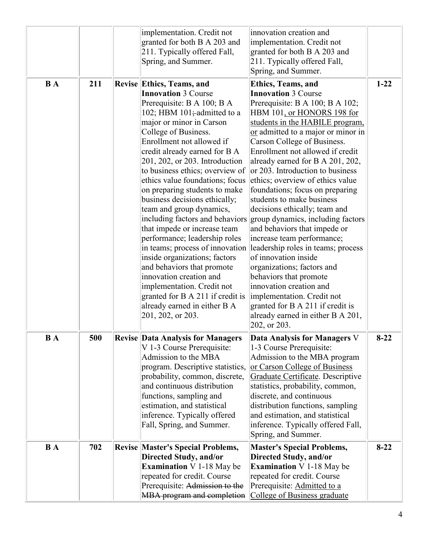|            |     | implementation. Credit not<br>granted for both B A 203 and<br>211. Typically offered Fall,<br>Spring, and Summer.                                                                                                                                                                                                                                                                                                                                                                                                                                                                                                                                                                                                                                                                                       | innovation creation and<br>implementation. Credit not<br>granted for both B A 203 and<br>211. Typically offered Fall,<br>Spring, and Summer.                                                                                                                                                                                                                                                                                                                                                                                                                                                                                                                                                                                                                                                                                                                      |          |
|------------|-----|---------------------------------------------------------------------------------------------------------------------------------------------------------------------------------------------------------------------------------------------------------------------------------------------------------------------------------------------------------------------------------------------------------------------------------------------------------------------------------------------------------------------------------------------------------------------------------------------------------------------------------------------------------------------------------------------------------------------------------------------------------------------------------------------------------|-------------------------------------------------------------------------------------------------------------------------------------------------------------------------------------------------------------------------------------------------------------------------------------------------------------------------------------------------------------------------------------------------------------------------------------------------------------------------------------------------------------------------------------------------------------------------------------------------------------------------------------------------------------------------------------------------------------------------------------------------------------------------------------------------------------------------------------------------------------------|----------|
| <b>BA</b>  | 211 | Revise Ethics, Teams, and<br><b>Innovation 3 Course</b><br>Prerequisite: B A 100; B A<br>102; HBM $101$ ; admitted to a<br>major or minor in Carson<br>College of Business.<br>Enrollment not allowed if<br>credit already earned for B A<br>201, 202, or 203. Introduction<br>to business ethics; overview of<br>ethics value foundations; focus<br>on preparing students to make<br>business decisions ethically;<br>team and group dynamics,<br>including factors and behaviors<br>that impede or increase team<br>performance; leadership roles<br>in teams; process of innovation<br>inside organizations; factors<br>and behaviors that promote<br>innovation creation and<br>implementation. Credit not<br>granted for B A 211 if credit is<br>already earned in either B A<br>201, 202, or 203. | <b>Ethics, Teams, and</b><br><b>Innovation 3 Course</b><br>Prerequisite: B A 100; B A 102;<br>HBM 101, or HONORS 198 for<br>students in the HABILE program,<br>or admitted to a major or minor in<br>Carson College of Business.<br>Enrollment not allowed if credit<br>already earned for B A 201, 202,<br>or 203. Introduction to business<br>ethics; overview of ethics value<br>foundations; focus on preparing<br>students to make business<br>decisions ethically; team and<br>group dynamics, including factors<br>and behaviors that impede or<br>increase team performance;<br>leadership roles in teams; process<br>of innovation inside<br>organizations; factors and<br>behaviors that promote<br>innovation creation and<br>implementation. Credit not<br>granted for B A 211 if credit is<br>already earned in either B A 201,<br>$ 202,$ or $203.$ | $1 - 22$ |
| <b>B</b> A | 500 | <b>Revise Data Analysis for Managers</b><br>V 1-3 Course Prerequisite:<br>Admission to the MBA<br>program. Descriptive statistics,<br>probability, common, discrete,<br>and continuous distribution<br>functions, sampling and<br>estimation, and statistical<br>inference. Typically offered<br>Fall, Spring, and Summer.                                                                                                                                                                                                                                                                                                                                                                                                                                                                              | Data Analysis for Managers V<br>1-3 Course Prerequisite:<br>Admission to the MBA program<br>or Carson College of Business<br>Graduate Certificate. Descriptive<br>statistics, probability, common,<br>discrete, and continuous<br>distribution functions, sampling<br>and estimation, and statistical<br>inference. Typically offered Fall,<br>Spring, and Summer.                                                                                                                                                                                                                                                                                                                                                                                                                                                                                                | $8-22$   |
| <b>B</b> A | 702 | <b>Revise Master's Special Problems,</b><br><b>Directed Study, and/or</b><br><b>Examination</b> V 1-18 May be<br>repeated for credit. Course<br>Prerequisite: Admission to the<br>MBA program and completion                                                                                                                                                                                                                                                                                                                                                                                                                                                                                                                                                                                            | <b>Master's Special Problems,</b><br>Directed Study, and/or<br><b>Examination</b> $V$ 1-18 May be<br>repeated for credit. Course<br>Prerequisite: Admitted to a<br>College of Business graduate                                                                                                                                                                                                                                                                                                                                                                                                                                                                                                                                                                                                                                                                   | $8 - 22$ |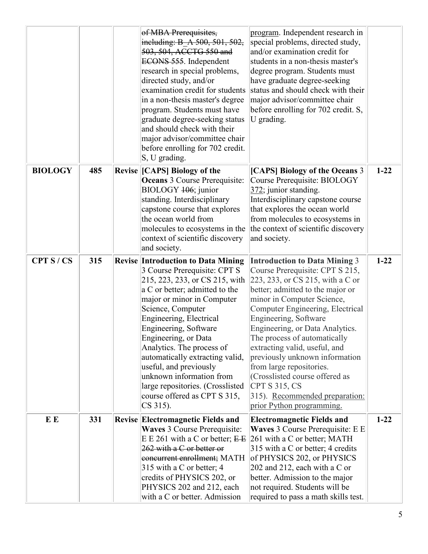|                |     | of MBA Prerequisites,<br>including: B A 500, 501, 502,<br>503, 504, ACCTG 550 and<br>ECONS 555. Independent<br>research in special problems,<br>directed study, and/or<br>examination credit for students<br>in a non-thesis master's degree<br>program. Students must have<br>graduate degree-seeking status<br>and should check with their<br>major advisor/committee chair<br>before enrolling for 702 credit.<br>$ S, U$ grading.                                                 | program. Independent research in<br>special problems, directed study,<br>and/or examination credit for<br>students in a non-thesis master's<br>degree program. Students must<br>have graduate degree-seeking<br>status and should check with their<br>major advisor/committee chair<br>before enrolling for 702 credit. S,<br>U grading.                                                                                                                                                                                       |          |
|----------------|-----|---------------------------------------------------------------------------------------------------------------------------------------------------------------------------------------------------------------------------------------------------------------------------------------------------------------------------------------------------------------------------------------------------------------------------------------------------------------------------------------|--------------------------------------------------------------------------------------------------------------------------------------------------------------------------------------------------------------------------------------------------------------------------------------------------------------------------------------------------------------------------------------------------------------------------------------------------------------------------------------------------------------------------------|----------|
| <b>BIOLOGY</b> | 485 | Revise [CAPS] Biology of the<br>Oceans 3 Course Prerequisite:<br>BIOLOGY 106; junior<br>standing. Interdisciplinary<br>capstone course that explores<br>the ocean world from<br>molecules to ecosystems in the<br>context of scientific discovery<br>and society.                                                                                                                                                                                                                     | [CAPS] Biology of the Oceans 3<br>Course Prerequisite: BIOLOGY<br>372; junior standing.<br>Interdisciplinary capstone course<br>that explores the ocean world<br>from molecules to ecosystems in<br>the context of scientific discovery<br>and society.                                                                                                                                                                                                                                                                        | $1 - 22$ |
| CPT S/CS       | 315 | <b>Revise Introduction to Data Mining</b><br>3 Course Prerequisite: CPT S<br>215, 223, 233, or CS 215, with<br>a C or better; admitted to the<br>major or minor in Computer<br>Science, Computer<br>Engineering, Electrical<br>Engineering, Software<br>Engineering, or Data<br>Analytics. The process of<br>automatically extracting valid,<br>useful, and previously<br>unknown information from<br>large repositories. (Crosslisted<br>course offered as CPT S 315,<br>$CS 315$ ). | <b>Introduction to Data Mining 3</b><br>Course Prerequisite: CPT S 215,<br>223, 233, or CS 215, with a C or<br>better; admitted to the major or<br>minor in Computer Science,<br>Computer Engineering, Electrical<br>Engineering, Software<br>Engineering, or Data Analytics.<br>The process of automatically<br>extracting valid, useful, and<br>previously unknown information<br>from large repositories.<br>(Crosslisted course offered as<br>CPT S 315, CS<br>315). Recommended preparation:<br>prior Python programming. | $1 - 22$ |
| E E            | 331 | <b>Revise Electromagnetic Fields and</b><br>Waves 3 Course Prerequisite:<br>E E 261 with a C or better; $E E$<br>262 with a C or better or<br>concurrent enrollment; MATH<br>315 with a C or better; 4<br>credits of PHYSICS 202, or<br>PHYSICS 202 and 212, each<br>with a C or better. Admission                                                                                                                                                                                    | <b>Electromagnetic Fields and</b><br>Waves 3 Course Prerequisite: E E<br>261 with a C or better; MATH<br>315 with a C or better; 4 credits<br>of PHYSICS 202, or PHYSICS<br>202 and 212, each with a C or<br>better. Admission to the major<br>not required. Students will be<br>required to pass a math skills test.                                                                                                                                                                                                          | $1 - 22$ |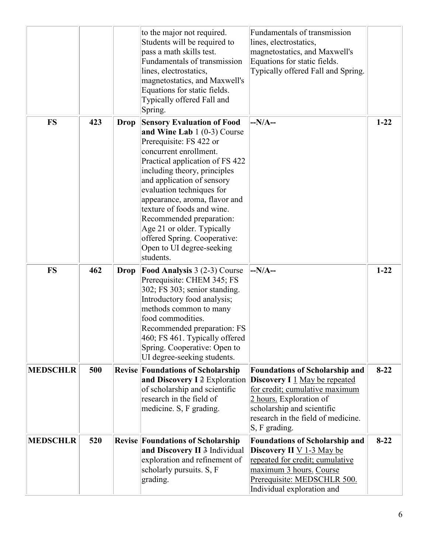|                 |     |             | to the major not required.<br>Students will be required to<br>pass a math skills test.<br>Fundamentals of transmission<br>lines, electrostatics,<br>magnetostatics, and Maxwell's<br>Equations for static fields.<br>Typically offered Fall and<br>Spring.                                                                                                                                                                                              | Fundamentals of transmission<br>lines, electrostatics,<br>magnetostatics, and Maxwell's<br>Equations for static fields.<br>Typically offered Fall and Spring.                                                                   |          |
|-----------------|-----|-------------|---------------------------------------------------------------------------------------------------------------------------------------------------------------------------------------------------------------------------------------------------------------------------------------------------------------------------------------------------------------------------------------------------------------------------------------------------------|---------------------------------------------------------------------------------------------------------------------------------------------------------------------------------------------------------------------------------|----------|
| <b>FS</b>       | 423 | <b>Drop</b> | <b>Sensory Evaluation of Food</b><br>and Wine Lab $1(0-3)$ Course<br>Prerequisite: FS 422 or<br>concurrent enrollment.<br>Practical application of FS 422<br>including theory, principles<br>and application of sensory<br>evaluation techniques for<br>appearance, aroma, flavor and<br>texture of foods and wine.<br>Recommended preparation:<br>Age 21 or older. Typically<br>offered Spring. Cooperative:<br>Open to UI degree-seeking<br>students. | $-N/A-$                                                                                                                                                                                                                         | $1 - 22$ |
| <b>FS</b>       | 462 | <b>Drop</b> | <b>Food Analysis 3 (2-3) Course</b><br>Prerequisite: CHEM 345; FS<br>302; FS 303; senior standing.<br>Introductory food analysis;<br>methods common to many<br>food commodities.<br>Recommended preparation: FS<br>460; FS 461. Typically offered<br>Spring. Cooperative: Open to<br>UI degree-seeking students.                                                                                                                                        | $-N/A-$                                                                                                                                                                                                                         | $1 - 22$ |
| <b>MEDSCHLR</b> | 500 |             | <b>Revise Foundations of Scholarship</b><br>and Discovery I 2 Exploration<br>of scholarship and scientific<br>research in the field of<br>medicine. S, F grading.                                                                                                                                                                                                                                                                                       | <b>Foundations of Scholarship and</b><br><b>Discovery I</b> 1 May be repeated<br>for credit; cumulative maximum<br>2 hours. Exploration of<br>scholarship and scientific<br>research in the field of medicine.<br>S, F grading. | $8 - 22$ |
| <b>MEDSCHLR</b> | 520 |             | <b>Revise Foundations of Scholarship</b><br>and Discovery II 3 Individual<br>exploration and refinement of<br>scholarly pursuits. S, F<br>grading.                                                                                                                                                                                                                                                                                                      | <b>Foundations of Scholarship and</b><br>Discovery II $\underline{V}$ 1-3 May be<br>repeated for credit; cumulative<br>maximum 3 hours. Course<br>Prerequisite: MEDSCHLR 500.<br>Individual exploration and                     | $8 - 22$ |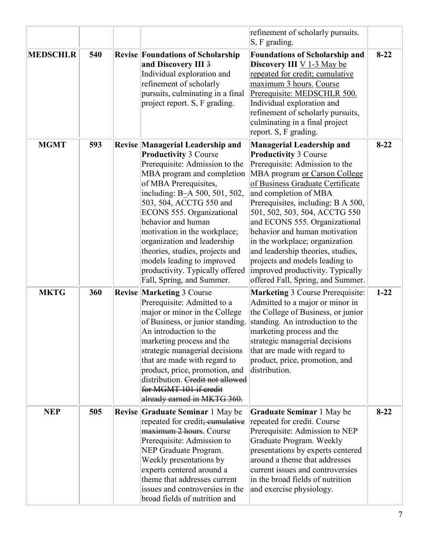|                 |     |                                                                                                                                                                                                                                                                                                                                                                                                                                                                          | refinement of scholarly pursuits.<br>$ S, F$ grading.                                                                                                                                                                                                                                                                                                                                                                                                                                                                       |          |
|-----------------|-----|--------------------------------------------------------------------------------------------------------------------------------------------------------------------------------------------------------------------------------------------------------------------------------------------------------------------------------------------------------------------------------------------------------------------------------------------------------------------------|-----------------------------------------------------------------------------------------------------------------------------------------------------------------------------------------------------------------------------------------------------------------------------------------------------------------------------------------------------------------------------------------------------------------------------------------------------------------------------------------------------------------------------|----------|
| <b>MEDSCHLR</b> | 540 | Revise Foundations of Scholarship<br>and Discovery III 3<br>Individual exploration and<br>refinement of scholarly<br>pursuits, culminating in a final<br>project report. S, F grading.                                                                                                                                                                                                                                                                                   | <b>Foundations of Scholarship and</b><br>Discovery III V 1-3 May be<br>repeated for credit; cumulative<br>maximum 3 hours. Course<br>Prerequisite: MEDSCHLR 500.<br>Individual exploration and<br>refinement of scholarly pursuits,<br>culminating in a final project<br>report. S, F grading.                                                                                                                                                                                                                              | $8 - 22$ |
| <b>MGMT</b>     | 593 | Revise Managerial Leadership and<br><b>Productivity 3 Course</b><br>Prerequisite: Admission to the<br>MBA program and completion<br>of MBA Prerequisites,<br>including: B-A 500, 501, 502,<br>503, 504, ACCTG 550 and<br>ECONS 555. Organizational<br>behavior and human<br>motivation in the workplace;<br>organization and leadership<br>theories, studies, projects and<br>models leading to improved<br>productivity. Typically offered<br>Fall, Spring, and Summer. | <b>Managerial Leadership and</b><br><b>Productivity 3 Course</b><br>Prerequisite: Admission to the<br>MBA program or Carson College<br>of Business Graduate Certificate<br>and completion of MBA<br>Prerequisites, including: B A 500,<br>501, 502, 503, 504, ACCTG 550<br>and ECONS 555. Organizational<br>behavior and human motivation<br>in the workplace; organization<br>and leadership theories, studies,<br>projects and models leading to<br>improved productivity. Typically<br>offered Fall, Spring, and Summer. | $8 - 22$ |
| <b>MKTG</b>     | 360 | <b>Revise Marketing 3 Course</b><br>Prerequisite: Admitted to a<br>major or minor in the College<br>of Business, or junior standing.<br>An introduction to the<br>marketing process and the<br>strategic managerial decisions<br>that are made with regard to<br>product, price, promotion, and<br>distribution. Credit not allowed<br>for MGMT 101 if credit<br>already earned in MKTG 360.                                                                             | <b>Marketing 3 Course Prerequisite:</b><br>Admitted to a major or minor in<br>the College of Business, or junior<br>standing. An introduction to the<br>marketing process and the<br>strategic managerial decisions<br>that are made with regard to<br>product, price, promotion, and<br>distribution.                                                                                                                                                                                                                      | $1 - 22$ |
| <b>NEP</b>      | 505 | <b>Revise Graduate Seminar 1 May be</b><br>repeated for credit; eumulative<br>maximum 2 hours. Course<br>Prerequisite: Admission to<br>NEP Graduate Program.<br>Weekly presentations by<br>experts centered around a<br>theme that addresses current<br>issues and controversies in the<br>broad fields of nutrition and                                                                                                                                                 | <b>Graduate Seminar</b> 1 May be<br>repeated for credit. Course<br>Prerequisite: Admission to NEP<br>Graduate Program. Weekly<br>presentations by experts centered<br>around a theme that addresses<br>current issues and controversies<br>in the broad fields of nutrition<br>and exercise physiology.                                                                                                                                                                                                                     | $8 - 22$ |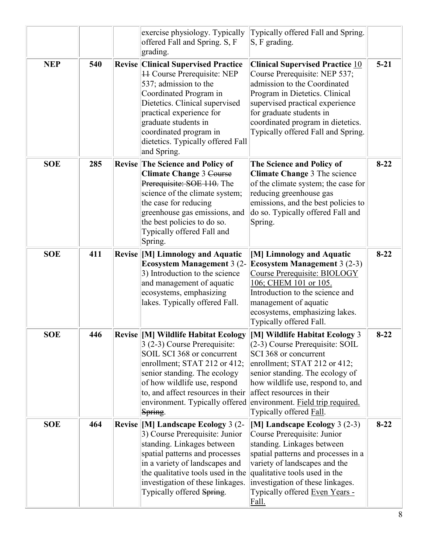|            |     | exercise physiology. Typically<br>offered Fall and Spring. S, F<br>grading.                                                                                                                                                                                                                            | Typically offered Fall and Spring.<br>$S, F$ grading.                                                                                                                                                                                                                                             |          |
|------------|-----|--------------------------------------------------------------------------------------------------------------------------------------------------------------------------------------------------------------------------------------------------------------------------------------------------------|---------------------------------------------------------------------------------------------------------------------------------------------------------------------------------------------------------------------------------------------------------------------------------------------------|----------|
| <b>NEP</b> | 540 | <b>Revise Clinical Supervised Practice</b><br><b>H</b> Course Prerequisite: NEP<br>537; admission to the<br>Coordinated Program in<br>Dietetics. Clinical supervised<br>practical experience for<br>graduate students in<br>coordinated program in<br>dietetics. Typically offered Fall<br>and Spring. | <b>Clinical Supervised Practice 10</b><br>Course Prerequisite: NEP 537;<br>admission to the Coordinated<br>Program in Dietetics. Clinical<br>supervised practical experience<br>for graduate students in<br>coordinated program in dietetics.<br>Typically offered Fall and Spring.               | $5 - 21$ |
| <b>SOE</b> | 285 | Revise The Science and Policy of<br><b>Climate Change 3 Course</b><br>Prerequisite: SOE 110. The<br>science of the climate system;<br>the case for reducing<br>greenhouse gas emissions, and<br>the best policies to do so.<br>Typically offered Fall and<br>Spring.                                   | The Science and Policy of<br>Climate Change 3 The science<br>of the climate system; the case for<br>reducing greenhouse gas<br>emissions, and the best policies to<br>do so. Typically offered Fall and<br>Spring.                                                                                | $8 - 22$ |
| <b>SOE</b> | 411 | <b>Revise [M] Limnology and Aquatic</b><br><b>Ecosystem Management 3 (2-</b><br>3) Introduction to the science<br>and management of aquatic<br>ecosystems, emphasizing<br>lakes. Typically offered Fall.                                                                                               | [M] Limnology and Aquatic<br><b>Ecosystem Management 3 (2-3)</b><br>Course Prerequisite: BIOLOGY<br>106; CHEM 101 or 105.<br>Introduction to the science and<br>management of aquatic<br>ecosystems, emphasizing lakes.<br>Typically offered Fall.                                                | $8 - 22$ |
| <b>SOE</b> | 446 | <b>Revise   [M] Wildlife Habitat Ecology</b><br>3 (2-3) Course Prerequisite:<br>SOIL SCI 368 or concurrent<br>enrollment; STAT 212 or 412;<br>senior standing. The ecology<br>of how wildlife use, respond<br>to, and affect resources in their<br>environment. Typically offered<br>Spring.           | [M] Wildlife Habitat Ecology 3<br>$(2-3)$ Course Prerequisite: SOIL<br>SCI 368 or concurrent<br>enrollment; STAT 212 or 412;<br>senior standing. The ecology of<br>how wildlife use, respond to, and<br>affect resources in their<br>environment. Field trip required.<br>Typically offered Fall. | $8 - 22$ |
| <b>SOE</b> | 464 | <b>Revise [M] Landscape Ecology 3 (2-</b><br>3) Course Prerequisite: Junior<br>standing. Linkages between<br>spatial patterns and processes<br>in a variety of landscapes and<br>the qualitative tools used in the<br>investigation of these linkages.<br>Typically offered Spring.                    | [M] Landscape Ecology 3 (2-3)<br>Course Prerequisite: Junior<br>standing. Linkages between<br>spatial patterns and processes in a<br>variety of landscapes and the<br>qualitative tools used in the<br>investigation of these linkages.<br>Typically offered Even Years -<br>Fall.                | $8 - 22$ |